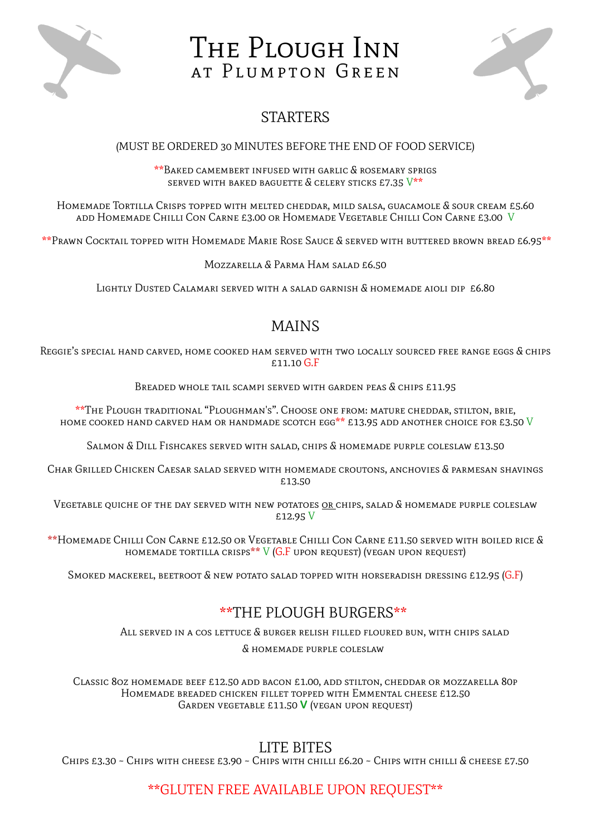

# The Plough Inn AT PLUMPTON GREEN



## **STARTERS**

#### (MUST BE ORDERED 30 MINUTES BEFORE THE END OF FOOD SERVICE)

\*\*Baked camembert infused with garlic & rosemary sprigs SERVED WITH BAKED BAGUETTE  $\&$  CELERY STICKS £7.35  $V^{**}$ 

Homemade Tortilla Crisps topped with melted cheddar, mild salsa, guacamole & sour cream £5.60 add Homemade Chilli Con Carne £3.00 or Homemade Vegetable Chilli Con Carne £3.00 V

\*\*Prawn Cocktail topped with Homemade Marie Rose Sauce & served with buttered brown bread £6.95\*\*

Mozzarella & Parma Ham salad £6.50

Lightly Dusted Calamari served with a salad garnish & homemade aioli dip £6.80

### MAINS

Reggie's special hand carved, home cooked ham served with two locally sourced free range eggs & chips £11.10 G.F

Breaded whole tail scampi served with garden peas & chips £11.95

\*\*The Plough traditional "Ploughman's". Choose one from: mature cheddar, stilton, brie, HOME COOKED HAND CARVED HAM OR HANDMADE SCOTCH EGG\*\* £13.95 ADD ANOTHER CHOICE FOR £3.50 V

Salmon & Dill Fishcakes served with salad, chips & homemade purple coleslaw £13.50

Char Grilled Chicken Caesar salad served with homemade croutons, anchovies & parmesan shavings £13.50

VEGETABLE QUICHE OF THE DAY SERVED WITH NEW POTATOES OR CHIPS, SALAD & HOMEMADE PURPLE COLESLAW £12.95 V

\*\*Homemade Chilli Con Carne £12.50 or Vegetable Chilli Con Carne £11.50 served with boiled rice & HOMEMADE TORTILLA CRISPS\*\* V (G.F UPON REQUEST) (VEGAN UPON REQUEST)

SMOKED MACKEREL, BEETROOT  $\&$  new potato salad topped with horseradish dressing £12.95 (G.F)

### \*\*THE PLOUGH BURGERS\*\*

All served in a cos lettuce & burger relish filled floured bun, with chips salad

& homemade purple coleslaw

Classic 8oz homemade beef £12.50 add bacon £1.00, add stilton, cheddar or mozzarella 80p Homemade breaded chicken fillet topped with Emmental cheese £12.50 Garden vegetable £11.50 **V** (vegan upon request)

### LITE BITES

Chips £3.30 ~ Chips with cheese £3.90 ~ Chips with chilli £6.20 ~ Chips with chilli & cheese £7.50

#### \*\*GLUTEN FREE AVAILABLE UPON REQUEST\*\*